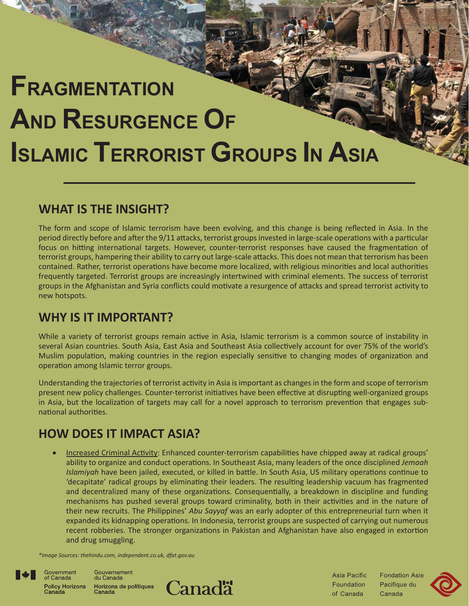# **FRAGMENTATION AND RESURGENCE OF ISLAMIC TERRORIST GROUPS IN ASIA**

## **WHAT IS THE INSIGHT?**

The form and scope of Islamic terrorism have been evolving, and this change is being reflected in Asia. In the period directly before and after the 9/11 attacks, terrorist groups invested in large-scale operations with a particular focus on hitting international targets. However, counter-terrorist responses have caused the fragmentation of terrorist groups, hampering their ability to carry out large-scale attacks. This does not mean that terrorism has been contained. Rather, terrorist operations have become more localized, with religious minorities and local authorities frequently targeted. Terrorist groups are increasingly intertwined with criminal elements. The success of terrorist groups in the Afghanistan and Syria conflicts could motivate a resurgence of attacks and spread terrorist activity to new hotspots.

## **WHY IS IT IMPORTANT?**

While a variety of terrorist groups remain active in Asia, Islamic terrorism is a common source of instability in several Asian countries. South Asia, East Asia and Southeast Asia collectively account for over 75% of the world's Muslim population, making countries in the region especially sensitive to changing modes of organization and operation among Islamic terror groups.

Understanding the trajectories of terrorist activity in Asia is important as changes in the form and scope of terrorism present new policy challenges. Counter-terrorist initiatives have been effective at disrupting well-organized groups in Asia, but the localization of targets may call for a novel approach to terrorism prevention that engages subnational authorities.

## **HOW DOES IT IMPACT ASIA?**

Increased Criminal Activity: Enhanced counter-terrorism capabilities have chipped away at radical groups' ability to organize and conduct operations. In Southeast Asia, many leaders of the once disciplined *Jemaah Islamiyah* have been jailed, executed, or killed in battle. In South Asia, US military operations continue to 'decapitate' radical groups by eliminating their leaders. The resulting leadership vacuum has fragmented and decentralized many of these organizations. Consequentially, a breakdown in discipline and funding mechanisms has pushed several groups toward criminality, both in their activities and in the nature of their new recruits. The Philippines' *Abu Sayyaf* was an early adopter of this entrepreneurial turn when it expanded its kidnapping operations. In Indonesia, terrorist groups are suspected of carrying out numerous recent robberies. The stronger organizations in Pakistan and Afghanistan have also engaged in extortion and drug smuggling.

*\*Image Sources: thehindu.com, independent.co.uk, dfat.gov.au*



of Canada

Gouvernement Government du Canada Policy Horizons<br>Canada Horizons de politiques Canada



Asia Pacific Foundation of Canada

**Fondation Asie** Pacifique du Canada

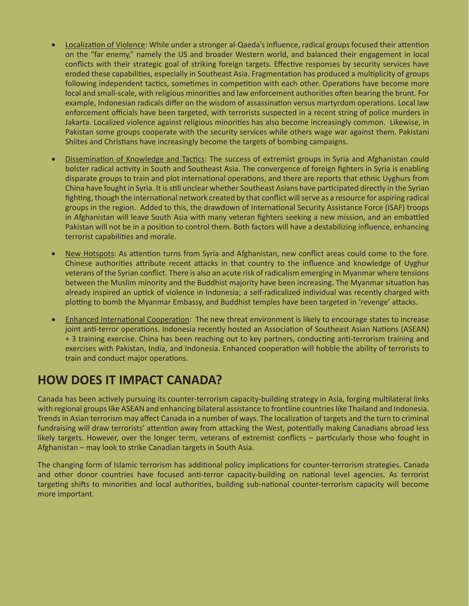- Localization of Violence: While under a stronger al-Qaeda's influence, radical groups focused their attention on the "far enemy," namely the US and broader Western world, and balanced their engagement in local conflicts with their strategic goal of striking foreign targets. Effective responses by security services have eroded these capabilities, especially in Southeast Asia. Fragmentation has produced a multiplicity of groups following independent tactics, sometimes in competition with each other. Operations have become more local and small-scale, with religious minorities and law enforcement authorities often bearing the brunt. For example, Indonesian radicals differ on the wisdom of assassination versus martyrdom operations. Local law enforcement officials have been targeted, with terrorists suspected in a recent string of police murders in Jakarta. Localized violence against religious minorities has also become increasingly common. Likewise, in Pakistan some groups cooperate with the security services while others wage war against them. Pakistani Shiites and Christians have increasingly become the targets of bombing campaigns.
- Dissemination of Knowledge and Tactics: The success of extremist groups in Syria and Afghanistan could bolster radical activity in South and Southeast Asia. The convergence of foreign fighters in Syria is enabling disparate groups to train and plot international operations, and there are reports that ethnic Uyghurs from China have fought in Syria. It is still unclear whether Southeast Asians have participated directly in the Syrian fighting, though the international network created by that conflict will serve as a resource for aspiring radical groups in the region. Added to this, the drawdown of International Security Assistance Force (ISAF) troops in Afghanistan will leave South Asia with many veteran fighters seeking a new mission, and an embattled Pakistan will not be in a position to control them. Both factors will have a destabilizing influence, enhancing terrorist capabilities and morale.
- New Hotspots: As attention turns from Syria and Afghanistan, new conflict areas could come to the fore. Chinese authorities attribute recent attacks in that country to the influence and knowledge of Uyghur veterans of the Syrian conflict. There is also an acute risk of radicalism emerging in Myanmar where tensions between the Muslim minority and the Buddhist majority have been increasing. The Myanmar situation has already inspired an uptick of violence in Indonesia; a self-radicalized individual was recently charged with plotting to bomb the Myanmar Embassy, and Buddhist temples have been targeted in 'revenge' attacks.
- Enhanced International Cooperation: The new threat environment is likely to encourage states to increase joint anti-terror operations. Indonesia recently hosted an Association of Southeast Asian Nations (ASEAN) + 3 training exercise. China has been reaching out to key partners, conducting anti-terrorism training and exercises with Pakistan, India, and Indonesia. Enhanced cooperation will hobble the ability of terrorists to train and conduct major operations.

## **HOW DOES IT IMPACT CANADA?**

Canada has been actively pursuing its counter-terrorism capacity-building strategy in Asia, forging multilateral links with regional groups like ASEAN and enhancing bilateral assistance to frontline countries like Thailand and Indonesia. Trends in Asian terrorism may affect Canada in a number of ways. The localization of targets and the turn to criminal fundraising will draw terrorists' attention away from attacking the West, potentially making Canadians abroad less likely targets. However, over the longer term, veterans of extremist conflicts – particularly those who fought in Afghanistan – may look to strike Canadian targets in South Asia.

The changing form of Islamic terrorism has additional policy implications for counter-terrorism strategies. Canada and other donor countries have focused anti-terror capacity-building on national level agencies. As terrorist targeting shifts to minorities and local authorities, building sub-national counter-terrorism capacity will become more important.